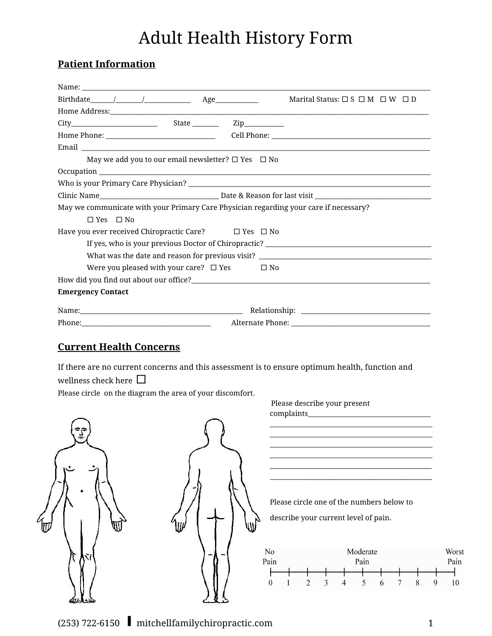## Adult Health History Form

## **Patient Information**

|                                                                                   |                                                                                                                |  | Marital Status: $\square$ S $\square$ M $\square$ W $\square$ D                       |
|-----------------------------------------------------------------------------------|----------------------------------------------------------------------------------------------------------------|--|---------------------------------------------------------------------------------------|
|                                                                                   |                                                                                                                |  |                                                                                       |
|                                                                                   |                                                                                                                |  |                                                                                       |
|                                                                                   |                                                                                                                |  |                                                                                       |
|                                                                                   |                                                                                                                |  |                                                                                       |
| May we add you to our email newsletter? $\Box$ Yes $\Box$ No                      |                                                                                                                |  |                                                                                       |
|                                                                                   |                                                                                                                |  |                                                                                       |
|                                                                                   |                                                                                                                |  |                                                                                       |
|                                                                                   |                                                                                                                |  |                                                                                       |
|                                                                                   |                                                                                                                |  | May we communicate with your Primary Care Physician regarding your care if necessary? |
| $\Box$ Yes $\Box$ No                                                              |                                                                                                                |  |                                                                                       |
|                                                                                   | Have you ever received Chiropractic Care? $\square$ Yes $\square$ No                                           |  |                                                                                       |
| If yes, who is your previous Doctor of Chiropractic? ____________________________ |                                                                                                                |  |                                                                                       |
|                                                                                   |                                                                                                                |  | What was the date and reason for previous visit? ________________________________     |
| Were you pleased with your care? $\Box$ Yes $\Box$ No                             |                                                                                                                |  |                                                                                       |
|                                                                                   |                                                                                                                |  |                                                                                       |
| <b>Emergency Contact</b>                                                          |                                                                                                                |  |                                                                                       |
|                                                                                   |                                                                                                                |  |                                                                                       |
|                                                                                   | Phone: 2008 and 2008 and 2008 and 2008 and 2008 and 2008 and 2008 and 2008 and 2008 and 2008 and 2008 and 2008 |  |                                                                                       |

## **Current Health Concerns**

If there are no current concerns and this assessment is to ensure optimum health, function and wellness check here  $\square$ 

Please circle on the diagram the area of your discomfort.





Please describe your present complaints\_ \_\_\_\_\_\_\_\_\_\_\_\_\_\_\_\_\_\_\_\_\_\_\_\_\_\_\_\_\_\_\_\_\_\_\_\_\_\_\_\_\_\_\_\_\_\_\_\_\_ \_\_\_\_\_\_\_\_\_\_\_\_\_\_\_\_\_\_\_\_\_\_\_\_\_\_\_\_\_\_\_\_\_\_\_\_\_\_\_\_\_\_\_\_\_\_\_\_\_ \_\_\_\_\_\_\_\_\_\_\_\_\_\_\_\_\_\_\_\_\_\_\_\_\_\_\_\_\_\_\_\_\_\_\_\_\_\_\_\_\_\_\_\_\_\_\_\_\_ \_\_\_\_\_\_\_\_\_\_\_\_\_\_\_\_\_\_\_\_\_\_\_\_\_\_\_\_\_\_\_\_\_\_\_\_\_\_\_\_\_\_\_\_\_\_\_\_\_ \_\_\_\_\_\_\_\_\_\_\_\_\_\_\_\_\_\_\_\_\_\_\_\_\_\_\_\_\_\_\_\_\_\_\_\_\_\_\_\_\_\_\_\_\_ \_\_\_\_\_\_\_\_\_\_\_\_\_\_\_\_\_\_\_\_\_\_\_\_\_\_\_\_\_\_\_\_\_\_\_\_\_\_\_\_\_\_\_\_\_\_

Please circle one of the numbers below to describe your current level of pain.

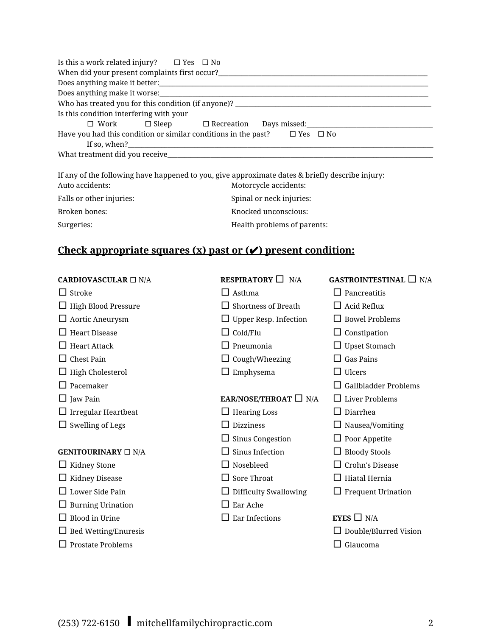| Is this a work related injury? $\Box$ Yes $\Box$ No                                    |  |  |  |  |
|----------------------------------------------------------------------------------------|--|--|--|--|
|                                                                                        |  |  |  |  |
|                                                                                        |  |  |  |  |
| Does anything make it worse:                                                           |  |  |  |  |
| Who has treated you for this condition (if anyone)? _____________________________      |  |  |  |  |
| Is this condition interfering with your                                                |  |  |  |  |
| $\Box$ Work $\Box$ Sleep $\Box$ Recreation Days missed:                                |  |  |  |  |
| Have you had this condition or similar conditions in the past?<br>$\Box$ Yes $\Box$ No |  |  |  |  |
|                                                                                        |  |  |  |  |
|                                                                                        |  |  |  |  |

| If any of the following have happened to you, give approximate dates & briefly describe injury: |                             |  |  |
|-------------------------------------------------------------------------------------------------|-----------------------------|--|--|
| Auto accidents:                                                                                 | Motorcycle accidents:       |  |  |
| Falls or other injuries:                                                                        | Spinal or neck injuries:    |  |  |
| Broken bones:                                                                                   | Knocked unconscious:        |  |  |
| Surgeries:                                                                                      | Health problems of parents: |  |  |

## **Check appropriate squares (x) past or (**✔**) present condition:**

| <b>CARDIOVASCULAR</b> $\Box$ N/A | <b>RESPIRATORY</b> $\Box$ N/A | <b>GASTROINTESTINAL</b> $\Box$ N/A |
|----------------------------------|-------------------------------|------------------------------------|
| Stroke                           | Asthma                        | Pancreatitis                       |
| High Blood Pressure              | <b>Shortness of Breath</b>    | Acid Reflux                        |
| Aortic Aneurysm                  | $\Box$ Upper Resp. Infection  | <b>Bowel Problems</b>              |
| <b>Heart Disease</b>             | $\Box$ Cold/Flu               | $\Box$ Constipation                |
| <b>Heart Attack</b>              | Pneumonia                     | $\Box$ Upset Stomach               |
| <b>Chest Pain</b>                | $\Box$ Cough/Wheezing         | <b>Gas Pains</b>                   |
| <b>High Cholesterol</b>          | $\Box$ Emphysema              | Ulcers                             |
| Pacemaker                        |                               | Gallbladder Problems               |
| $\Box$ Jaw Pain                  | EAR/NOSE/THROAT $\Box$ N/A    | $\square$ Liver Problems           |
| $\Box$ Irregular Heartbeat       | $\Box$ Hearing Loss           | Diarrhea                           |
| $\Box$ Swelling of Legs          | <b>Dizziness</b>              | Nausea/Vomiting                    |
|                                  | $\Box$ Sinus Congestion       | $\Box$ Poor Appetite               |
| <b>GENITOURINARY</b> $\Box$ N/A  | Sinus Infection               | <b>Bloody Stools</b>               |
| Kidney Stone                     | Nosebleed                     | Crohn's Disease                    |
| Kidney Disease                   | Sore Throat                   | Hiatal Hernia                      |
| Lower Side Pain                  | <b>Difficulty Swallowing</b>  | <b>Frequent Urination</b>          |
| <b>Burning Urination</b>         | Ear Ache                      |                                    |
| <b>Blood</b> in Urine            | <b>Ear Infections</b>         | EYES $\Box$ N/A                    |
| <b>Bed Wetting/Enuresis</b>      |                               | Double/Blurred Vision              |
| Prostate Problems                |                               | Glaucoma                           |